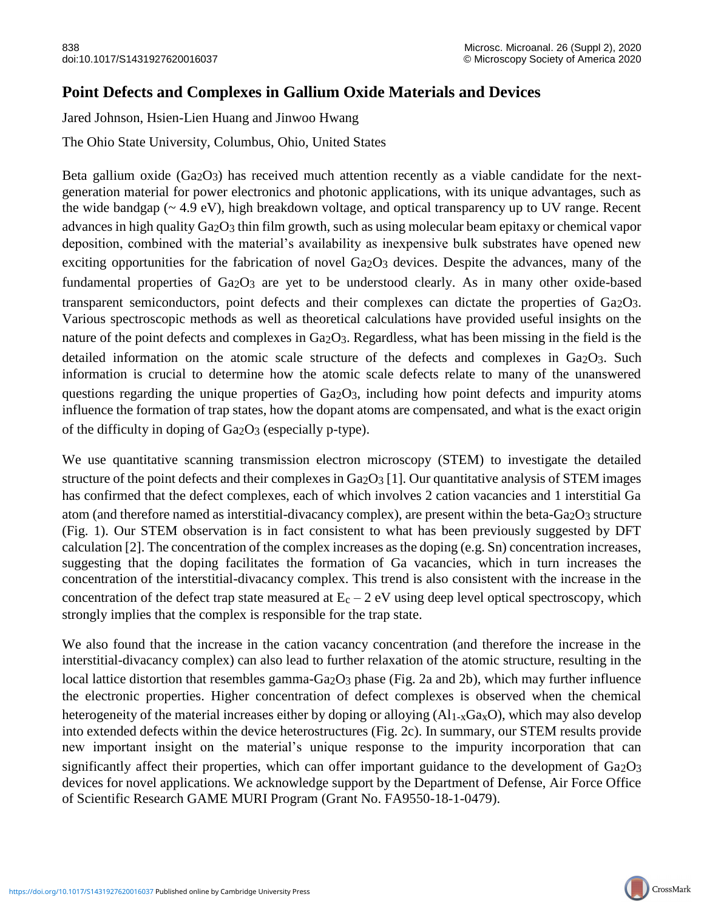## **Point Defects and Complexes in Gallium Oxide Materials and Devices**

Jared Johnson, Hsien-Lien Huang and Jinwoo Hwang

The Ohio State University, Columbus, Ohio, United States

Beta gallium oxide  $(Ga<sub>2</sub>O<sub>3</sub>)$  has received much attention recently as a viable candidate for the nextgeneration material for power electronics and photonic applications, with its unique advantages, such as the wide bandgap (~ 4.9 eV), high breakdown voltage, and optical transparency up to UV range. Recent advances in high quality Ga<sub>2</sub>O<sub>3</sub> thin film growth, such as using molecular beam epitaxy or chemical vapor deposition, combined with the material's availability as inexpensive bulk substrates have opened new exciting opportunities for the fabrication of novel Ga<sub>2</sub>O<sub>3</sub> devices. Despite the advances, many of the fundamental properties of Ga<sub>2</sub>O<sub>3</sub> are yet to be understood clearly. As in many other oxide-based transparent semiconductors, point defects and their complexes can dictate the properties of Ga<sub>2</sub>O<sub>3</sub>. Various spectroscopic methods as well as theoretical calculations have provided useful insights on the nature of the point defects and complexes in Ga<sub>2</sub>O<sub>3</sub>. Regardless, what has been missing in the field is the detailed information on the atomic scale structure of the defects and complexes in  $Ga<sub>2</sub>O<sub>3</sub>$ . Such information is crucial to determine how the atomic scale defects relate to many of the unanswered questions regarding the unique properties of Ga2O3, including how point defects and impurity atoms influence the formation of trap states, how the dopant atoms are compensated, and what is the exact origin of the difficulty in doping of Ga2O3 (especially p-type).

We use quantitative scanning transmission electron microscopy (STEM) to investigate the detailed structure of the point defects and their complexes in Ga<sub>2</sub>O<sub>3</sub> [1]. Our quantitative analysis of STEM images has confirmed that the defect complexes, each of which involves 2 cation vacancies and 1 interstitial Ga atom (and therefore named as interstitial-divacancy complex), are present within the beta-Ga<sub>2</sub>O<sub>3</sub> structure (Fig. 1). Our STEM observation is in fact consistent to what has been previously suggested by DFT calculation [2]. The concentration of the complex increases as the doping (e.g. Sn) concentration increases, suggesting that the doping facilitates the formation of Ga vacancies, which in turn increases the concentration of the interstitial-divacancy complex. This trend is also consistent with the increase in the concentration of the defect trap state measured at  $E_c - 2$  eV using deep level optical spectroscopy, which strongly implies that the complex is responsible for the trap state.

We also found that the increase in the cation vacancy concentration (and therefore the increase in the interstitial-divacancy complex) can also lead to further relaxation of the atomic structure, resulting in the local lattice distortion that resembles gamma-Ga<sub>2</sub>O<sub>3</sub> phase (Fig. 2a and 2b), which may further influence the electronic properties. Higher concentration of defect complexes is observed when the chemical heterogeneity of the material increases either by doping or alloying (Al<sub>1-x</sub>Ga<sub>x</sub>O), which may also develop into extended defects within the device heterostructures (Fig. 2c). In summary, our STEM results provide new important insight on the material's unique response to the impurity incorporation that can significantly affect their properties, which can offer important guidance to the development of  $Ga<sub>2</sub>O<sub>3</sub>$ devices for novel applications. We acknowledge support by the Department of Defense, Air Force Office of Scientific Research GAME MURI Program (Grant No. FA9550-18-1-0479).